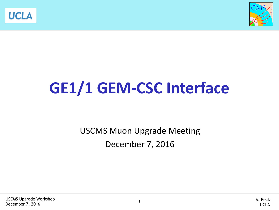



# **GE1/1 GEM-CSC Interface**

USCMS Muon Upgrade Meeting December 7, 2016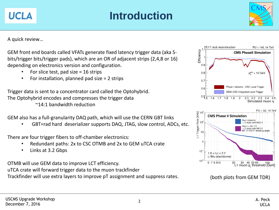### **Introduction**

A quick review…

**UCLA** 

GEM front end boards called VFATs generate fixed latency trigger data (aka Sbits/trigger bits/trigger pads), which are an OR of adjacent strips (2,4,8 or 16) depending on electronics version and configuration.

- For slice test, pad size  $= 16$  strips
- For installation, planned pad size  $= 2$  strips

Trigger data is sent to a concentrator card called the Optohybrid. The Optohybrid encodes and compresses the trigger data

~14:1 bandwidth reduction

GEM also has a full-granularity DAQ path, which will use the CERN GBT links

• GBT=rad hard deserializer supports DAQ, JTAG, slow control, ADCs, etc.

There are four trigger fibers to off-chamber electronics:

- Redundant paths: 2x to CSC OTMB and 2x to GEM uTCA crate
- Links at 3.2 Gbps

OTMB will use GEM data to improve LCT efficiency.

uTCA crate will forward trigger data to the muon trackfinder

Trackfinder will use extra layers to improve pT assignment and suppress rates. (both plots from GEM TDR)





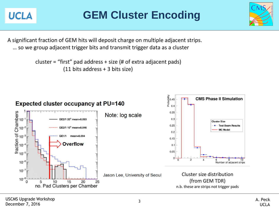**UCLA** 

### **GEM Cluster Encoding**

A significant fraction of GEM hits will deposit charge on multiple adjacent strips. … so we group adjacent trigger bits and transmit trigger data as a cluster

> cluster = "first" pad address + size (# of extra adjacent pads) (11 bits address + 3 bits size)



![](_page_2_Picture_5.jpeg)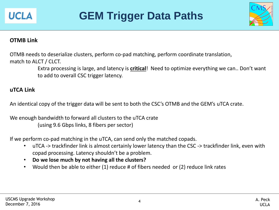![](_page_3_Picture_0.jpeg)

### **GEM Trigger Data Paths**

![](_page_3_Picture_2.jpeg)

#### **OTMB Link**

OTMB needs to deserialize clusters, perform co-pad matching, perform coordinate translation, match to ALCT / CLCT.

> Extra processing is large, and latency is **critical**! Need to optimize everything we can.. Don't want to add to overall CSC trigger latency.

#### **uTCA Link**

An identical copy of the trigger data will be sent to both the CSC's OTMB and the GEM's uTCA crate.

We enough bandwidth to forward all clusters to the uTCA crate (using 9.6 Gbps links, 8 fibers per sector)

If we perform co-pad matching in the uTCA, can send only the matched copads.

- uTCA -> trackfinder link is almost certainly lower latency than the CSC -> trackfinder link, even with copad processing. Latency shouldn't be a problem.
- **Do we lose much by not having all the clusters?**
- Would then be able to either (1) reduce # of fibers needed or (2) reduce link rates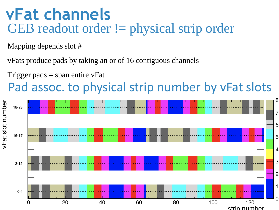## **vFat channels** GEB readout order != physical strip order

Mapping depends slot #

vFats produce pads by taking an or of 16 contiguous channels

Trigger pads  $=$  span entire vFat

## Pad assoc. to physical strip number by vFat slots

![](_page_4_Figure_5.jpeg)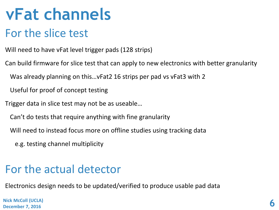## **vFat channels**

### For the slice test

Will need to have vFat level trigger pads (128 strips)

Can build firmware for slice test that can apply to new electronics with better granularity

Was already planning on this…vFat2 16 strips per pad vs vFat3 with 2

Useful for proof of concept testing

Trigger data in slice test may not be as useable…

Can't do tests that require anything with fine granularity

Will need to instead focus more on offline studies using tracking data

e.g. testing channel multiplicity

### For the actual detector

Electronics design needs to be updated/verified to produce usable pad data

**Nick McColl (UCLA) December 7, 2016**